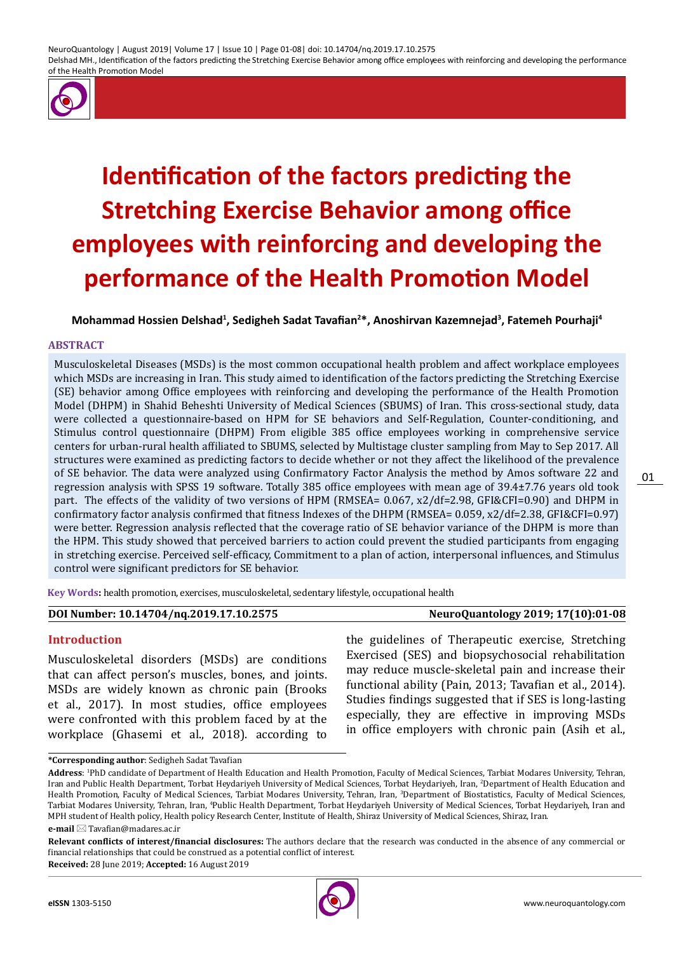NeuroQuantology | August 2019| Volume 17 | Issue 10 | Page 01-08| doi: 10.14704/nq.2019.17.10.2575 Delshad MH., Identification of the factors predicting the Stretching Exercise Behavior among office employees with reinforcing and developing the performance of the Health Promotion Model



# **Identification of the factors predicting the Stretching Exercise Behavior among office employees with reinforcing and developing the performance of the Health Promotion Model**

**Mohammad Hossien Delshad<sup>1</sup> , Sedigheh Sadat Tavafian<sup>2</sup> \*, Anoshirvan Kazemnejad<sup>3</sup> , Fatemeh Pourhaji<sup>4</sup>**

#### **ABSTRACT**

Musculoskeletal Diseases (MSDs) is the most common occupational health problem and affect workplace employees which MSDs are increasing in Iran. This study aimed to identification of the factors predicting the Stretching Exercise (SE) behavior among Office employees with reinforcing and developing the performance of the Health Promotion Model (DHPM) in Shahid Beheshti University of Medical Sciences (SBUMS) of Iran. This cross-sectional study, data were collected a questionnaire-based on HPM for SE behaviors and Self-Regulation, Counter-conditioning, and Stimulus control questionnaire (DHPM) From eligible 385 office employees working in comprehensive service centers for urban-rural health affiliated to SBUMS, selected by Multistage cluster sampling from May to Sep 2017. All structures were examined as predicting factors to decide whether or not they affect the likelihood of the prevalence of SE behavior. The data were analyzed using Confirmatory Factor Analysis the method by Amos software 22 and regression analysis with SPSS 19 software. Totally 385 office employees with mean age of 39.4±7.76 years old took part. The effects of the validity of two versions of HPM (RMSEA= 0.067, x2/df=2.98, GFI&CFI=0.90) and DHPM in confirmatory factor analysis confirmed that fitness Indexes of the DHPM (RMSEA= 0.059, x2/df=2.38, GFI&CFI=0.97) were better. Regression analysis reflected that the coverage ratio of SE behavior variance of the DHPM is more than the HPM. This study showed that perceived barriers to action could prevent the studied participants from engaging in stretching exercise. Perceived self-efficacy, Commitment to a plan of action, interpersonal influences, and Stimulus control were significant predictors for SE behavior.

**Key Words:** health promotion, exercises, musculoskeletal, sedentary lifestyle, occupational health

#### **Introduction**

Musculoskeletal disorders (MSDs) are conditions that can affect person's muscles, bones, and joints. MSDs are widely known as chronic pain (Brooks et al., 2017). In most studies, office employees were confronted with this problem faced by at the workplace (Ghasemi et al., 2018). according to

the guidelines of Therapeutic exercise, Stretching Exercised (SES) and biopsychosocial rehabilitation may reduce muscle-skeletal pain and increase their functional ability (Pain, 2013; Tavafian et al., 2014). Studies findings suggested that if SES is long-lasting especially, they are effective in improving MSDs in office employers with chronic pain (Asih et al.,

**Received:** 28 June 2019; **Accepted:** 16 August 2019



01

**<sup>\*</sup>Corresponding author**: Sedigheh Sadat Tavafian

**Address**: 1 PhD candidate of Department of Health Education and Health Promotion, Faculty of Medical Sciences, Tarbiat Modares University, Tehran, Iran and Public Health Department, Torbat Heydariyeh University of Medical Sciences, Torbat Heydariyeh, Iran, <sup>2</sup> Department of Health Education and Health Promotion, Faculty of Medical Sciences, Tarbiat Modares University, Tehran, Iran, <sup>3</sup> Department of Biostatistics, Faculty of Medical Sciences, Tarbiat Modares University, Tehran, Iran, \*Public Health Department, Torbat Heydariyeh University of Medical Sciences, Torbat Heydariyeh, Iran and MPH student of Health policy, Health policy Research Center, Institute of Health, Shiraz University of Medical Sciences, Shiraz, Iran. **e-mail**  Tavafian@madares.ac.ir

**Relevant conflicts of interest/financial disclosures:** The authors declare that the research was conducted in the absence of any commercial or financial relationships that could be construed as a potential conflict of interest.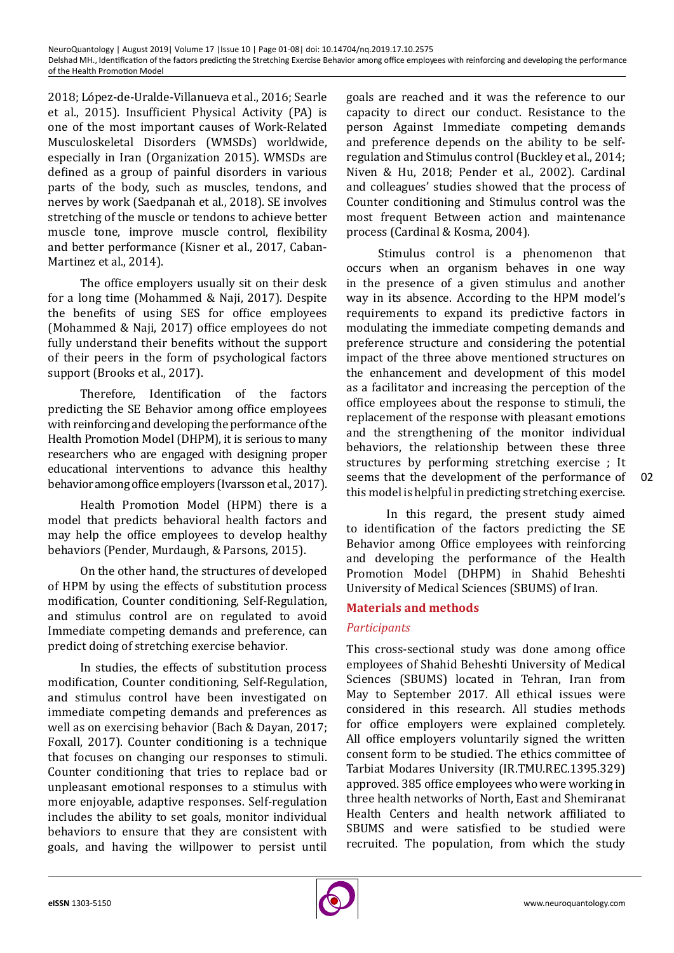2018; López-de-Uralde-Villanueva et al., 2016; Searle et al., 2015). Insufficient Physical Activity (PA) is one of the most important causes of Work-Related Musculoskeletal Disorders (WMSDs) worldwide, especially in Iran (Organization 2015). WMSDs are defined as a group of painful disorders in various parts of the body, such as muscles, tendons, and nerves by work (Saedpanah et al., 2018). SE involves stretching of the muscle or tendons to achieve better muscle tone, improve muscle control, flexibility and better performance (Kisner et al., 2017, Caban‐ Martinez et al., 2014).

The office employers usually sit on their desk for a long time (Mohammed & Naji, 2017). Despite the benefits of using SES for office employees (Mohammed & Naji, 2017) office employees do not fully understand their benefits without the support of their peers in the form of psychological factors support (Brooks et al., 2017).

Therefore, Identification of the factors predicting the SE Behavior among office employees with reinforcing and developing the performance of the Health Promotion Model (DHPM), it is serious to many researchers who are engaged with designing proper educational interventions to advance this healthy behavior among office employers (Ivarsson et al., 2017).

Health Promotion Model (HPM) there is a model that predicts behavioral health factors and may help the office employees to develop healthy behaviors (Pender, Murdaugh, & Parsons, 2015).

On the other hand, the structures of developed of HPM by using the effects of substitution process modification, Counter conditioning, Self-Regulation, and stimulus control are on regulated to avoid Immediate competing demands and preference, can predict doing of stretching exercise behavior.

In studies, the effects of substitution process modification, Counter conditioning, Self-Regulation, and stimulus control have been investigated on immediate competing demands and preferences as well as on exercising behavior (Bach & Dayan, 2017; Foxall, 2017). Counter conditioning is a technique that focuses on changing our responses to stimuli. Counter conditioning that tries to replace bad or unpleasant emotional responses to a stimulus with more enjoyable, adaptive responses. Self-regulation includes the ability to set goals, monitor individual behaviors to ensure that they are consistent with goals, and having the willpower to persist until

goals are reached and it was the reference to our capacity to direct our conduct. Resistance to the person Against Immediate competing demands and preference depends on the ability to be selfregulation and Stimulus control (Buckley et al., 2014; Niven & Hu, 2018; Pender et al., 2002). Cardinal and colleagues' studies showed that the process of Counter conditioning and Stimulus control was the most frequent Between action and maintenance process (Cardinal & Kosma, 2004).

Stimulus control is a phenomenon that occurs when an organism behaves in one way in the presence of a given stimulus and another way in its absence. According to the HPM model's requirements to expand its predictive factors in modulating the immediate competing demands and preference structure and considering the potential impact of the three above mentioned structures on the enhancement and development of this model as a facilitator and increasing the perception of the office employees about the response to stimuli, the replacement of the response with pleasant emotions and the strengthening of the monitor individual behaviors, the relationship between these three structures by performing stretching exercise ; It seems that the development of the performance of this model is helpful in predicting stretching exercise.

 In this regard, the present study aimed to identification of the factors predicting the SE Behavior among Office employees with reinforcing and developing the performance of the Health Promotion Model (DHPM) in Shahid Beheshti University of Medical Sciences (SBUMS) of Iran.

## **Materials and methods**

## *Participants*

This cross-sectional study was done among office employees of Shahid Beheshti University of Medical Sciences (SBUMS) located in Tehran, Iran from May to September 2017. All ethical issues were considered in this research. All studies methods for office employers were explained completely. All office employers voluntarily signed the written consent form to be studied. The ethics committee of Tarbiat Modares University (IR.TMU.REC.1395.329) approved. 385 office employees who were working in three health networks of North, East and Shemiranat Health Centers and health network affiliated to SBUMS and were satisfied to be studied were recruited. The population, from which the study

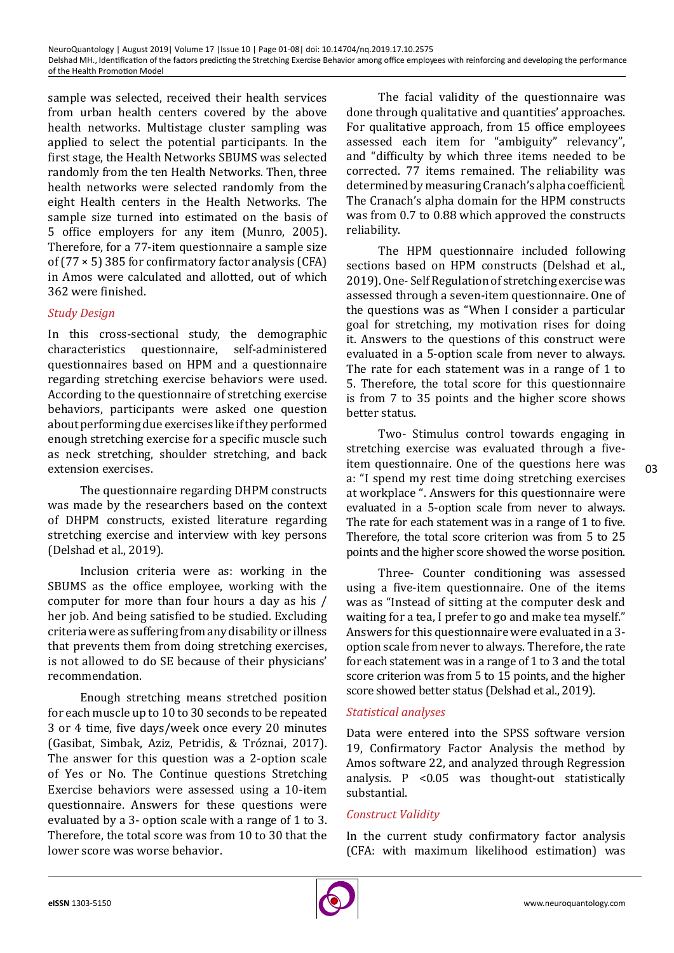sample was selected, received their health services from urban health centers covered by the above health networks. Multistage cluster sampling was applied to select the potential participants. In the first stage, the Health Networks SBUMS was selected randomly from the ten Health Networks. Then, three health networks were selected randomly from the eight Health centers in the Health Networks. The sample size turned into estimated on the basis of 5 office employers for any item (Munro, 2005). Therefore, for a 77-item questionnaire a sample size of  $(77 \times 5)$  385 for confirmatory factor analysis (CFA) in Amos were calculated and allotted, out of which 362 were finished.

# *Study Design*

In this cross-sectional study, the demographic characteristics questionnaire, self-administered characteristics questionnaire, self-administered questionnaires based on HPM and a questionnaire regarding stretching exercise behaviors were used. According to the questionnaire of stretching exercise behaviors, participants were asked one question about performing due exercises like if they performed enough stretching exercise for a specific muscle such as neck stretching, shoulder stretching, and back extension exercises.

The questionnaire regarding DHPM constructs was made by the researchers based on the context of DHPM constructs, existed literature regarding stretching exercise and interview with key persons (Delshad et al., 2019).

Inclusion criteria were as: working in the SBUMS as the office employee, working with the computer for more than four hours a day as his / her job. And being satisfied to be studied. Excluding criteria were as suffering from any disability or illness that prevents them from doing stretching exercises, is not allowed to do SE because of their physicians' recommendation.

Enough stretching means stretched position for each muscle up to 10 to 30 seconds to be repeated 3 or 4 time, five days/week once every 20 minutes (Gasibat, Simbak, Aziz, Petridis, & Tróznai, 2017). The answer for this question was a 2-option scale of Yes or No. The Continue questions Stretching Exercise behaviors were assessed using a 10-item questionnaire. Answers for these questions were evaluated by a 3- option scale with a range of 1 to 3. Therefore, the total score was from 10 to 30 that the lower score was worse behavior.

The facial validity of the questionnaire was done through qualitative and quantities' approaches. For qualitative approach, from 15 office employees assessed each item for "ambiguity" relevancy", and "difficulty by which three items needed to be corrected. 77 items remained. The reliability was determined by measuring Cranach's alpha coefficient. The Cranach's alpha domain for the HPM constructs was from 0.7 to 0.88 which approved the constructs reliability.

The HPM questionnaire included following sections based on HPM constructs (Delshad et al., 2019). One- Self Regulation of stretching exercise was assessed through a seven-item questionnaire. One of the questions was as "When I consider a particular goal for stretching, my motivation rises for doing it. Answers to the questions of this construct were evaluated in a 5-option scale from never to always. The rate for each statement was in a range of 1 to 5. Therefore, the total score for this questionnaire is from 7 to 35 points and the higher score shows better status.

Two- Stimulus control towards engaging in stretching exercise was evaluated through a fiveitem questionnaire. One of the questions here was a: "I spend my rest time doing stretching exercises at workplace ". Answers for this questionnaire were evaluated in a 5-option scale from never to always. The rate for each statement was in a range of 1 to five. Therefore, the total score criterion was from 5 to 25 points and the higher score showed the worse position.

Three- Counter conditioning was assessed using a five-item questionnaire. One of the items was as "Instead of sitting at the computer desk and waiting for a tea, I prefer to go and make tea myself." Answers for this questionnaire were evaluated in a 3 option scale from never to always. Therefore, the rate for each statement was in a range of 1 to 3 and the total score criterion was from 5 to 15 points, and the higher score showed better status (Delshad et al., 2019).

## *Statistical analyses*

Data were entered into the SPSS software version 19, Confirmatory Factor Analysis the method by Amos software 22, and analyzed through Regression analysis.  $P < 0.05$  was thought-out statistically substantial.

## *Construct Validity*

In the current study confirmatory factor analysis (CFA: with maximum likelihood estimation) was

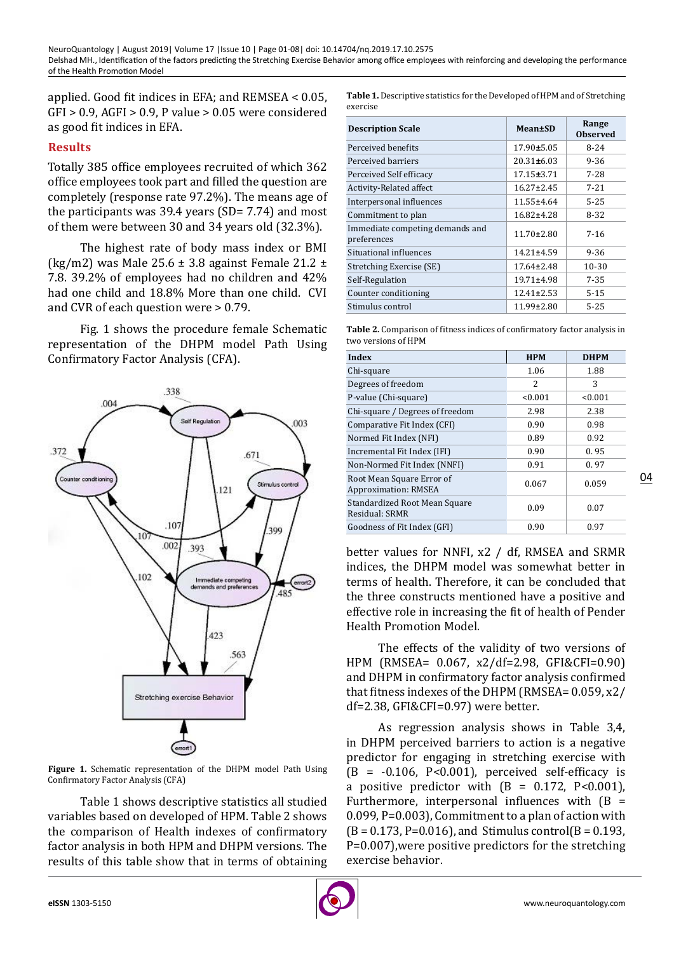applied. Good fit indices in EFA; and REMSEA < 0.05, GFI > 0.9, AGFI > 0.9, P value > 0.05 were considered as good fit indices in EFA.

#### **Results**

Totally 385 office employees recruited of which 362 office employees took part and filled the question are completely (response rate 97.2%). The means age of the participants was  $39.4$  years (SD= 7.74) and most of them were between 30 and 34 years old (32.3%).

The highest rate of body mass index or BMI (kg/m2) was Male  $25.6 \pm 3.8$  against Female  $21.2 \pm 1.2$ 7.8. 39.2% of employees had no children and 42% had one child and 18.8% More than one child. CVI and CVR of each question were > 0.79.

Fig. 1 shows the procedure female Schematic representation of the DHPM model Path Using Confirmatory Factor Analysis (CFA).



**Figure 1.** Schematic representation of the DHPM model Path Using Confirmatory Factor Analysis (CFA)

Table 1 shows descriptive statistics all studied variables based on developed of HPM. Table 2 shows the comparison of Health indexes of confirmatory factor analysis in both HPM and DHPM versions. The results of this table show that in terms of obtaining **Table 1.** Descriptive statistics for the Developed of HPM and of Stretching exercise

| <b>Description Scale</b>                       | Mean±SD          | Range<br><b>Observed</b> |  |
|------------------------------------------------|------------------|--------------------------|--|
| Perceived benefits                             | $17.90 \pm 5.05$ | $8 - 24$                 |  |
| Perceived barriers                             | $20.31 \pm 6.03$ | $9 - 36$                 |  |
| Perceived Self efficacy                        | $17.15 \pm 3.71$ | $7 - 28$                 |  |
| Activity-Related affect                        | $16.27 \pm 2.45$ | $7 - 21$                 |  |
| Interpersonal influences                       | $11.55 \pm 4.64$ | $5 - 25$                 |  |
| Commitment to plan                             | 16.82±4.28       | 8-32                     |  |
| Immediate competing demands and<br>preferences | $11.70 \pm 2.80$ | $7-16$                   |  |
| Situational influences                         | $14.21 \pm 4.59$ | $9 - 36$                 |  |
| Stretching Exercise (SE)                       | $17.64 \pm 2.48$ | 10-30                    |  |
| Self-Regulation                                | $19.71 \pm 4.98$ | $7 - 35$                 |  |
| Counter conditioning                           | $12.41 \pm 2.53$ | $5 - 15$                 |  |
| Stimulus control                               | $11.99 \pm 2.80$ | $5 - 25$                 |  |

**Table 2.** Comparison of fitness indices of confirmatory factor analysis in two versions of HPM

| Index                                                    | <b>HPM</b>    | <b>DHPM</b> |  |
|----------------------------------------------------------|---------------|-------------|--|
| Chi-square                                               | 1.06          | 1.88        |  |
| Degrees of freedom                                       | $\mathcal{L}$ | 3           |  |
| P-value (Chi-square)                                     | < 0.001       | < 0.001     |  |
| Chi-square / Degrees of freedom                          | 2.98          | 2.38        |  |
| Comparative Fit Index (CFI)                              | 0.90          | 0.98        |  |
| Normed Fit Index (NFI)                                   | 0.89          | 0.92        |  |
| Incremental Fit Index (IFI)                              | 0.90          | 0.95        |  |
| Non-Normed Fit Index (NNFI)                              | 0.91          | 0.97        |  |
| Root Mean Square Error of<br><b>Approximation: RMSEA</b> | 0.067         | 0.059       |  |
| Standardized Root Mean Square<br>Residual: SRMR          | 0.09          | 0.07        |  |
| Goodness of Fit Index (GFI)                              | 0.90          | 0.97        |  |

better values for NNFI, x2 / df, RMSEA and SRMR indices, the DHPM model was somewhat better in terms of health. Therefore, it can be concluded that the three constructs mentioned have a positive and effective role in increasing the fit of health of Pender Health Promotion Model.

The effects of the validity of two versions of HPM (RMSEA= 0.067, x2/df=2.98, GFI&CFI=0.90) and DHPM in confirmatory factor analysis confirmed that fitness indexes of the DHPM (RMSEA= 0.059, x2/ df=2.38, GFI&CFI=0.97) were better.

As regression analysis shows in Table 3,4, in DHPM perceived barriers to action is a negative predictor for engaging in stretching exercise with  $(B = -0.106, P<0.001)$ , perceived self-efficacy is a positive predictor with  $(B = 0.172, P < 0.001)$ , Furthermore, interpersonal influences with  $(B =$ 0.099, P=0.003), Commitment to a plan of action with  $(B = 0.173, P = 0.016)$ , and Stimulus control $(B = 0.193, P = 0.016)$ P=0.007),were positive predictors for the stretching exercise behavior.

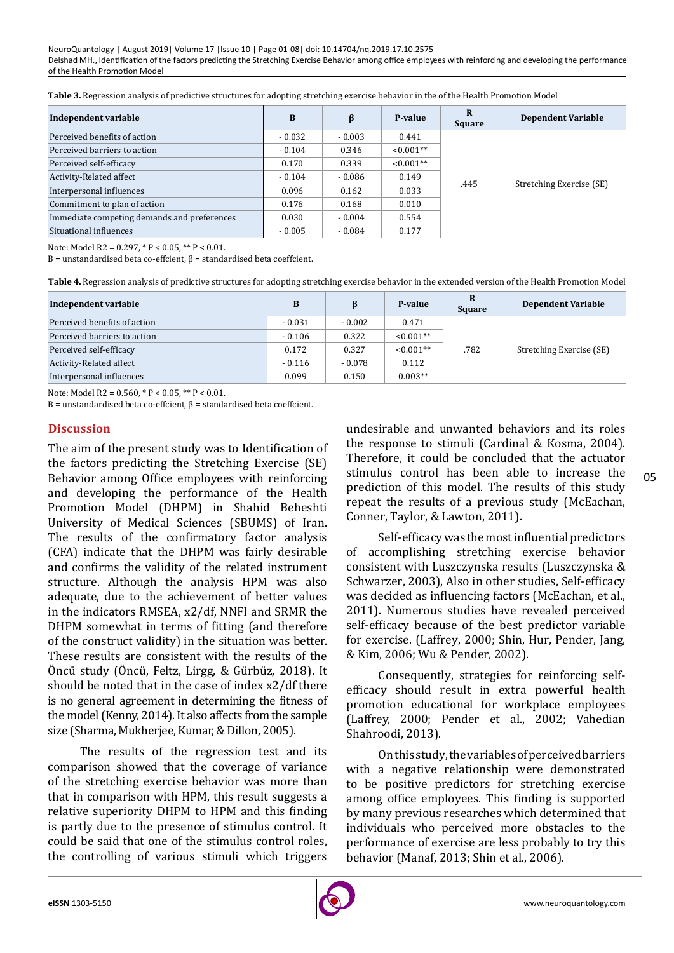| Independent variable                        | B        | β        | P-value     | $\bf{R}$<br><b>Square</b> | <b>Dependent Variable</b> |
|---------------------------------------------|----------|----------|-------------|---------------------------|---------------------------|
| Perceived benefits of action                | $-0.032$ | $-0.003$ | 0.441       | .445                      | Stretching Exercise (SE)  |
| Perceived barriers to action                | $-0.104$ | 0.346    | $< 0.001**$ |                           |                           |
| Perceived self-efficacy                     | 0.170    | 0.339    | $< 0.001**$ |                           |                           |
| Activity-Related affect                     | $-0.104$ | $-0.086$ | 0.149       |                           |                           |
| Interpersonal influences                    | 0.096    | 0.162    | 0.033       |                           |                           |
| Commitment to plan of action                | 0.176    | 0.168    | 0.010       |                           |                           |
| Immediate competing demands and preferences | 0.030    | $-0.004$ | 0.554       |                           |                           |
| Situational influences                      | $-0.005$ | $-0.084$ | 0.177       |                           |                           |

Note: Model R2 = 0.297, \* P < 0.05, \*\* P < 0.01.

B = unstandardised beta co-effcient, β = standardised beta coeffcient.

**Table 4.** Regression analysis of predictive structures for adopting stretching exercise behavior in the extended version of the Health Promotion Model

| Independent variable         | B        | ß        | P-value     | R<br><b>Square</b> | <b>Dependent Variable</b> |
|------------------------------|----------|----------|-------------|--------------------|---------------------------|
| Perceived benefits of action | $-0.031$ | $-0.002$ | 0.471       | .782               | Stretching Exercise (SE)  |
| Perceived barriers to action | $-0.106$ | 0.322    | $< 0.001**$ |                    |                           |
| Perceived self-efficacy      | 0.172    | 0.327    | $< 0.001**$ |                    |                           |
| Activity-Related affect      | $-0.116$ | $-0.078$ | 0.112       |                    |                           |
| Interpersonal influences     | 0.099    | 0.150    | $0.003**$   |                    |                           |

Note: Model R2 = 0.560, \* P < 0.05, \*\* P < 0.01.

B = unstandardised beta co-effcient, β = standardised beta coeffcient.

#### **Discussion**

The aim of the present study was to Identification of the factors predicting the Stretching Exercise (SE) Behavior among Office employees with reinforcing and developing the performance of the Health Promotion Model (DHPM) in Shahid Beheshti University of Medical Sciences (SBUMS) of Iran. The results of the confirmatory factor analysis (CFA) indicate that the DHPM was fairly desirable and confirms the validity of the related instrument structure. Although the analysis HPM was also adequate, due to the achievement of better values in the indicators RMSEA, x2/df, NNFI and SRMR the DHPM somewhat in terms of fitting (and therefore of the construct validity) in the situation was better. These results are consistent with the results of the Öncü study (Öncü, Feltz, Lirgg, & Gürbüz, 2018). It should be noted that in the case of index x2/df there is no general agreement in determining the fitness of the model (Kenny, 2014). It also affects from the sample size (Sharma, Mukherjee, Kumar, & Dillon, 2005).

The results of the regression test and its comparison showed that the coverage of variance of the stretching exercise behavior was more than that in comparison with HPM, this result suggests a relative superiority DHPM to HPM and this finding is partly due to the presence of stimulus control. It could be said that one of the stimulus control roles, the controlling of various stimuli which triggers

undesirable and unwanted behaviors and its roles the response to stimuli (Cardinal & Kosma, 2004). Therefore, it could be concluded that the actuator stimulus control has been able to increase the prediction of this model. The results of this study repeat the results of a previous study (McEachan, Conner, Taylor, & Lawton, 2011).

Self-efficacy was the most influential predictors of accomplishing stretching exercise behavior consistent with Luszczynska results (Luszczynska & Schwarzer, 2003), Also in other studies, Self-efficacy was decided as influencing factors (McEachan, et al., 2011). Numerous studies have revealed perceived self-efficacy because of the best predictor variable for exercise. (Laffrey, 2000; Shin, Hur, Pender, Jang, & Kim, 2006; Wu & Pender, 2002).

Consequently, strategies for reinforcing selfefficacy should result in extra powerful health promotion educational for workplace employees (Laffrey, 2000; Pender et al., 2002; Vahedian Shahroodi, 2013).

On this study, the variables of perceived barriers with a negative relationship were demonstrated to be positive predictors for stretching exercise among office employees. This finding is supported by many previous researches which determined that individuals who perceived more obstacles to the performance of exercise are less probably to try this behavior (Manaf, 2013; Shin et al., 2006).

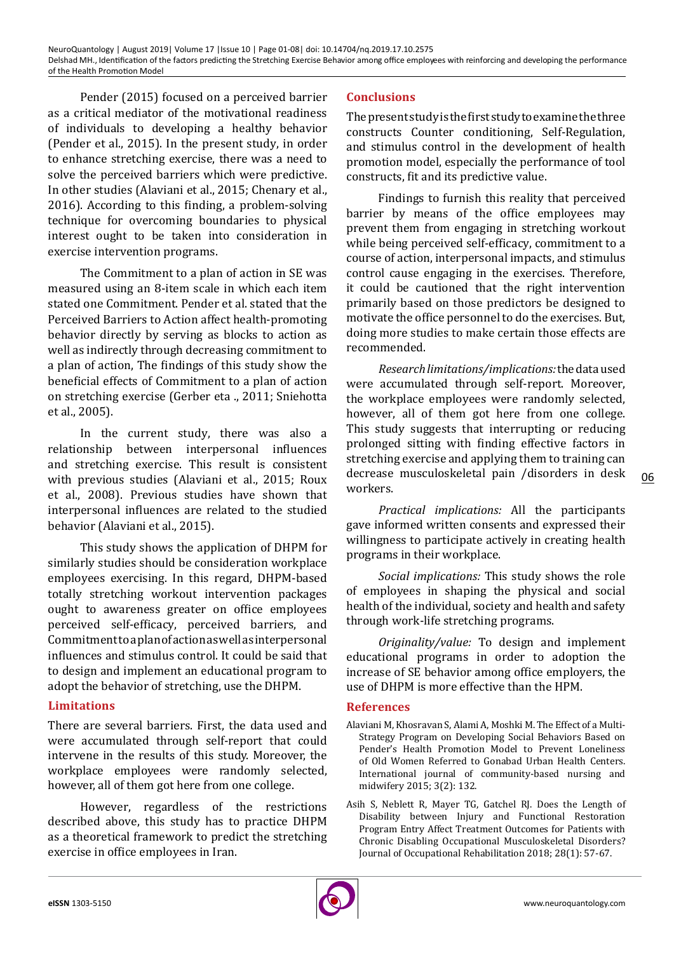Pender (2015) focused on a perceived barrier as a critical mediator of the motivational readiness of individuals to developing a healthy behavior (Pender et al., 2015). In the present study, in order to enhance stretching exercise, there was a need to solve the perceived barriers which were predictive. In other studies (Alaviani et al., 2015; Chenary et al., 2016). According to this finding, a problem-solving technique for overcoming boundaries to physical interest ought to be taken into consideration in exercise intervention programs.

The Commitment to a plan of action in SE was measured using an 8-item scale in which each item stated one Commitment. Pender et al. stated that the Perceived Barriers to Action affect health-promoting behavior directly by serving as blocks to action as well as indirectly through decreasing commitment to a plan of action, The findings of this study show the beneficial effects of Commitment to a plan of action on stretching exercise (Gerber eta ., 2011; Sniehotta et al., 2005).

In the current study, there was also a relationship between interpersonal influences and stretching exercise. This result is consistent with previous studies (Alaviani et al., 2015; Roux et al., 2008). Previous studies have shown that interpersonal influences are related to the studied behavior (Alaviani et al., 2015).

This study shows the application of DHPM for similarly studies should be consideration workplace employees exercising. In this regard, DHPM-based totally stretching workout intervention packages ought to awareness greater on office employees perceived self-efficacy, perceived barriers, and Commitment to a plan of action as well as interpersonal influences and stimulus control. It could be said that to design and implement an educational program to adopt the behavior of stretching, use the DHPM.

# **Limitations**

There are several barriers. First, the data used and were accumulated through self-report that could intervene in the results of this study. Moreover, the workplace employees were randomly selected, however, all of them got here from one college.

However, regardless of the restrictions described above, this study has to practice DHPM as a theoretical framework to predict the stretching exercise in office employees in Iran.

# **Conclusions**

The present study is the first study to examine the three constructs Counter conditioning, Self-Regulation, and stimulus control in the development of health promotion model, especially the performance of tool constructs, fit and its predictive value.

Findings to furnish this reality that perceived barrier by means of the office employees may prevent them from engaging in stretching workout while being perceived self-efficacy, commitment to a course of action, interpersonal impacts, and stimulus control cause engaging in the exercises. Therefore, it could be cautioned that the right intervention primarily based on those predictors be designed to motivate the office personnel to do the exercises. But, doing more studies to make certain those effects are recommended.

*Research limitations/implications:* the data used were accumulated through self-report. Moreover, the workplace employees were randomly selected, however, all of them got here from one college. This study suggests that interrupting or reducing prolonged sitting with finding effective factors in stretching exercise and applying them to training can decrease musculoskeletal pain /disorders in desk workers.

*Practical implications:* All the participants gave informed written consents and expressed their willingness to participate actively in creating health programs in their workplace.

*Social implications:* This study shows the role of employees in shaping the physical and social health of the individual, society and health and safety through work-life stretching programs.

*Originality/value:* To design and implement educational programs in order to adoption the increase of SE behavior among office employers, the use of DHPM is more effective than the HPM.

## **References**

- Alaviani M, Khosravan S, Alami A, Moshki M. The Effect of a Multi-Strategy Program on Developing Social Behaviors Based on Pender's Health Promotion Model to Prevent Loneliness of Old Women Referred to Gonabad Urban Health Centers. International journal of community-based nursing and midwifery 2015; 3(2): 132.
- Asih S, Neblett R, Mayer TG, Gatchel RJ. Does the Length of Disability between Injury and Functional Restoration Program Entry Affect Treatment Outcomes for Patients with Chronic Disabling Occupational Musculoskeletal Disorders? Journal of Occupational Rehabilitation 2018; 28(1): 57-67.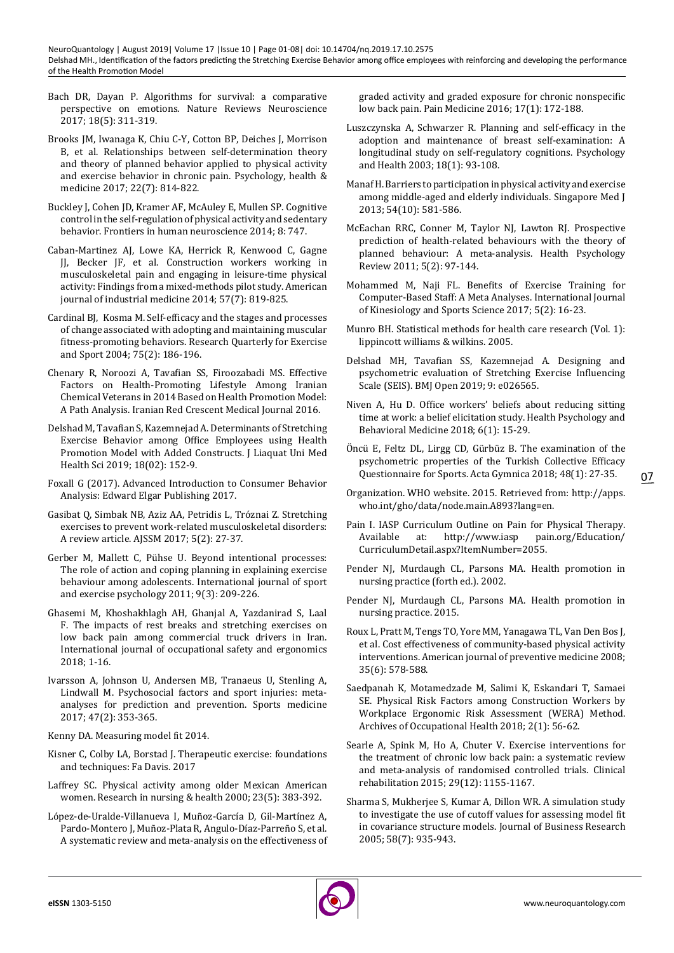- Bach DR, Dayan P. Algorithms for survival: a comparative perspective on emotions. Nature Reviews Neuroscience 2017; 18(5): 311-319.
- Brooks JM, Iwanaga K, Chiu C-Y, Cotton BP, Deiches J, Morrison B, et al. Relationships between self-determination theory and theory of planned behavior applied to physical activity and exercise behavior in chronic pain. Psychology, health & medicine 2017; 22(7): 814-822.
- Buckley J, Cohen JD, Kramer AF, McAuley E, Mullen SP. Cognitive control in the self-regulation of physical activity and sedentary behavior. Frontiers in human neuroscience 2014; 8: 747.
- Caban‐Martinez AJ, Lowe KA, Herrick R, Kenwood C, Gagne JJ, Becker JF, et al. Construction workers working in musculoskeletal pain and engaging in leisure‐time physical activity: Findings from a mixed‐methods pilot study. American journal of industrial medicine 2014; 57(7): 819-825.
- Cardinal BJ, Kosma M. Self-efficacy and the stages and processes of change associated with adopting and maintaining muscular fitness-promoting behaviors. Research Quarterly for Exercise and Sport 2004; 75(2): 186-196.
- Chenary R, Noroozi A, Tavafian SS, Firoozabadi MS. Effective Factors on Health-Promoting Lifestyle Among Iranian Chemical Veterans in 2014 Based on Health Promotion Model: A Path Analysis. Iranian Red Crescent Medical Journal 2016.
- Delshad M, Tavafian S, Kazemnejad A. Determinants of Stretching Exercise Behavior among Office Employees using Health Promotion Model with Added Constructs. J Liaquat Uni Med Health Sci 2019; 18(02): 152-9.
- Foxall G (2017). Advanced Introduction to Consumer Behavior Analysis: Edward Elgar Publishing 2017.
- Gasibat Q, Simbak NB, Aziz AA, Petridis L, Tróznai Z. Stretching exercises to prevent work-related musculoskeletal disorders: A review article. AJSSM 2017; 5(2): 27-37.
- Gerber M, Mallett C, Pühse U. Beyond intentional processes: The role of action and coping planning in explaining exercise behaviour among adolescents. International journal of sport and exercise psychology 2011; 9(3): 209-226.
- Ghasemi M, Khoshakhlagh AH, Ghanjal A, Yazdanirad S, Laal F. The impacts of rest breaks and stretching exercises on low back pain among commercial truck drivers in Iran. International journal of occupational safety and ergonomics 2018; 1-16.
- Ivarsson A, Johnson U, Andersen MB, Tranaeus U, Stenling A, Lindwall M. Psychosocial factors and sport injuries: metaanalyses for prediction and prevention. Sports medicine 2017; 47(2): 353-365.
- Kenny DA. Measuring model fit 2014.
- Kisner C, Colby LA, Borstad J. Therapeutic exercise: foundations and techniques: Fa Davis. 2017
- Laffrey SC. Physical activity among older Mexican American women. Research in nursing & health 2000; 23(5): 383-392.
- López-de-Uralde-Villanueva I, Muñoz-García D, Gil-Martínez A, Pardo-Montero J, Muñoz-Plata R, Angulo-Díaz-Parreño S, et al. A systematic review and meta-analysis on the effectiveness of

graded activity and graded exposure for chronic nonspecific low back pain. Pain Medicine 2016; 17(1): 172-188.

- Luszczynska A, Schwarzer R. Planning and self-efficacy in the adoption and maintenance of breast self-examination: A longitudinal study on self-regulatory cognitions. Psychology and Health 2003; 18(1): 93-108.
- Manaf H. Barriers to participation in physical activity and exercise among middle-aged and elderly individuals. Singapore Med J 2013; 54(10): 581-586.
- McEachan RRC, Conner M, Taylor NJ, Lawton RJ. Prospective prediction of health-related behaviours with the theory of planned behaviour: A meta-analysis. Health Psychology Review 2011; 5(2): 97-144.
- Mohammed M, Naji FL. Benefits of Exercise Training for Computer-Based Staff: A Meta Analyses. International Journal of Kinesiology and Sports Science 2017; 5(2): 16-23.
- Munro BH. Statistical methods for health care research (Vol. 1): lippincott williams & wilkins. 2005.
- Delshad MH, Tavafian SS, Kazemnejad A. Designing and psychometric evaluation of Stretching Exercise Influencing Scale (SEIS). BMJ Open 2019; 9: e026565.
- Niven A, Hu D. Office workers' beliefs about reducing sitting time at work: a belief elicitation study. Health Psychology and Behavioral Medicine 2018; 6(1): 15-29.
- Öncü E, Feltz DL, Lirgg CD, Gürbüz B. The examination of the psychometric properties of the Turkish Collective Efficacy Questionnaire for Sports. Acta Gymnica 2018; 48(1): 27-35.
- Organization. WHO website. 2015. Retrieved from: http://apps. who.int/gho/data/node.main.A893?lang=en.
- Pain I. IASP Curriculum Outline on Pain for Physical Therapy.<br>Available at: http://www.iasp pain.org/Education/ pain.org/Education/ CurriculumDetail.aspx?ItemNumber=2055.
- Pender NJ, Murdaugh CL, Parsons MA. Health promotion in nursing practice (forth ed.). 2002.
- Pender NJ, Murdaugh CL, Parsons MA. Health promotion in nursing practice. 2015.
- Roux L, Pratt M, Tengs TO, Yore MM, Yanagawa TL, Van Den Bos J, et al. Cost effectiveness of community-based physical activity interventions. American journal of preventive medicine 2008; 35(6): 578-588.
- Saedpanah K, Motamedzade M, Salimi K, Eskandari T, Samaei SE. Physical Risk Factors among Construction Workers by Workplace Ergonomic Risk Assessment (WERA) Method. Archives of Occupational Health 2018; 2(1): 56-62.
- Searle A, Spink M, Ho A, Chuter V. Exercise interventions for the treatment of chronic low back pain: a systematic review and meta-analysis of randomised controlled trials. Clinical rehabilitation 2015; 29(12): 1155-1167.
- Sharma S, Mukherjee S, Kumar A, Dillon WR. A simulation study to investigate the use of cutoff values for assessing model fit in covariance structure models. Journal of Business Research 2005; 58(7): 935-943.



07